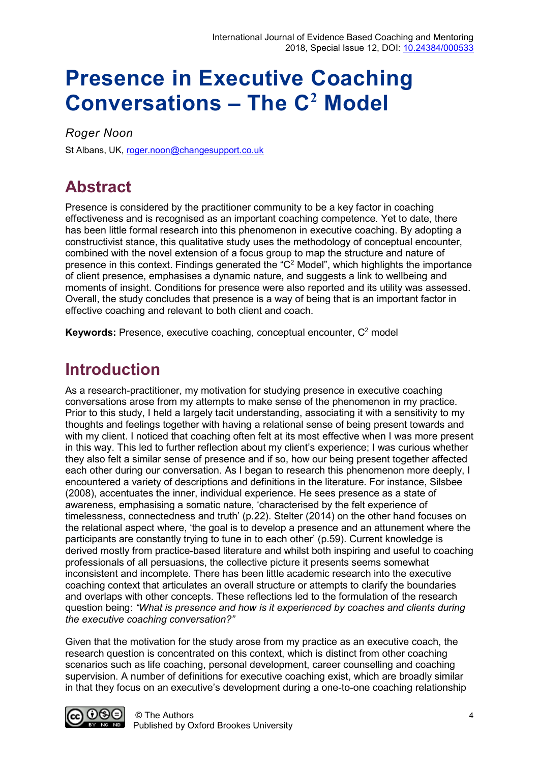# **Presence in Executive Coaching Conversations – The C<sup>2</sup> Model**

*Roger Noon*

St Albans, UK, [roger.noon@changesupport.co.uk](mailto:roger.noon@changesupport.co.uk)

# **Abstract**

Presence is considered by the practitioner community to be a key factor in coaching effectiveness and is recognised as an important coaching competence. Yet to date, there has been little formal research into this phenomenon in executive coaching. By adopting a constructivist stance, this qualitative study uses the methodology of conceptual encounter, combined with the novel extension of a focus group to map the structure and nature of presence in this context. Findings generated the "C<sup>2</sup> Model", which highlights the importance of client presence, emphasises a dynamic nature, and suggests a link to wellbeing and moments of insight. Conditions for presence were also reported and its utility was assessed. Overall, the study concludes that presence is a way of being that is an important factor in effective coaching and relevant to both client and coach.

**Keywords:** Presence, executive coaching, conceptual encounter, C<sup>2</sup> model

### **Introduction**

As a research-practitioner, my motivation for studying presence in executive coaching conversations arose from my attempts to make sense of the phenomenon in my practice. Prior to this study, I held a largely tacit understanding, associating it with a sensitivity to my thoughts and feelings together with having a relational sense of being present towards and with my client. I noticed that coaching often felt at its most effective when I was more present in this way. This led to further reflection about my client's experience; I was curious whether they also felt a similar sense of presence and if so, how our being present together affected each other during our conversation. As I began to research this phenomenon more deeply, I encountered a variety of descriptions and definitions in the literature. For instance, Silsbee (2008), accentuates the inner, individual experience. He sees presence as a state of awareness, emphasising a somatic nature, 'characterised by the felt experience of timelessness, connectedness and truth' (p.22). Stelter (2014) on the other hand focuses on the relational aspect where, 'the goal is to develop a presence and an attunement where the participants are constantly trying to tune in to each other' (p.59). Current knowledge is derived mostly from practice-based literature and whilst both inspiring and useful to coaching professionals of all persuasions, the collective picture it presents seems somewhat inconsistent and incomplete. There has been little academic research into the executive coaching context that articulates an overall structure or attempts to clarify the boundaries and overlaps with other concepts. These reflections led to the formulation of the research question being: *"What is presence and how is it experienced by coaches and clients during the executive coaching conversation?"*

Given that the motivation for the study arose from my practice as an executive coach, the research question is concentrated on this context, which is distinct from other coaching scenarios such as life coaching, personal development, career counselling and coaching supervision. A number of definitions for executive coaching exist, which are broadly similar in that they focus on an executive's development during a one-to-one coaching relationship

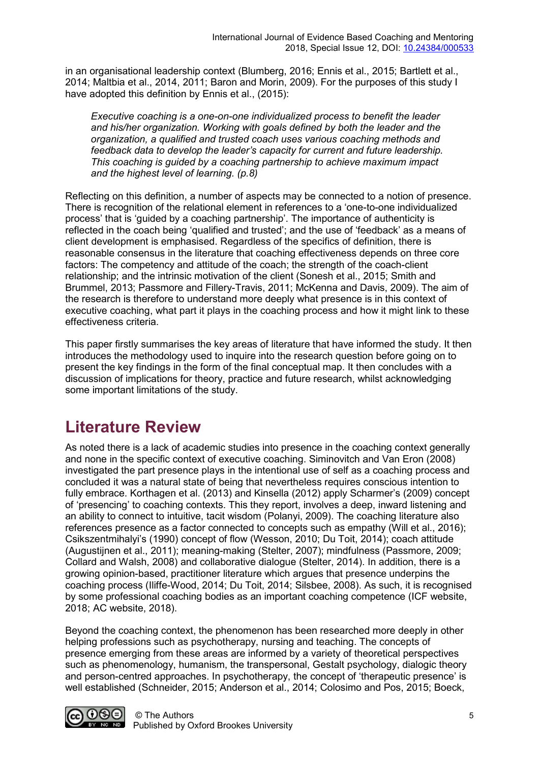in an organisational leadership context (Blumberg, 2016; Ennis et al., 2015; Bartlett et al., 2014; Maltbia et al., 2014, 2011; Baron and Morin, 2009). For the purposes of this study I have adopted this definition by Ennis et al., (2015):

*Executive coaching is a one-on-one individualized process to benefit the leader and his/her organization. Working with goals defined by both the leader and the organization, a qualified and trusted coach uses various coaching methods and feedback data to develop the leader's capacity for current and future leadership. This coaching is guided by a coaching partnership to achieve maximum impact and the highest level of learning. (p.8)*

Reflecting on this definition, a number of aspects may be connected to a notion of presence. There is recognition of the relational element in references to a 'one-to-one individualized process' that is 'guided by a coaching partnership'. The importance of authenticity is reflected in the coach being 'qualified and trusted'; and the use of 'feedback' as a means of client development is emphasised. Regardless of the specifics of definition, there is reasonable consensus in the literature that coaching effectiveness depends on three core factors: The competency and attitude of the coach; the strength of the coach-client relationship; and the intrinsic motivation of the client (Sonesh et al., 2015; Smith and Brummel, 2013; Passmore and Fillery-Travis, 2011; McKenna and Davis, 2009). The aim of the research is therefore to understand more deeply what presence is in this context of executive coaching, what part it plays in the coaching process and how it might link to these effectiveness criteria.

This paper firstly summarises the key areas of literature that have informed the study. It then introduces the methodology used to inquire into the research question before going on to present the key findings in the form of the final conceptual map. It then concludes with a discussion of implications for theory, practice and future research, whilst acknowledging some important limitations of the study.

### **Literature Review**

As noted there is a lack of academic studies into presence in the coaching context generally and none in the specific context of executive coaching. Siminovitch and Van Eron (2008) investigated the part presence plays in the intentional use of self as a coaching process and concluded it was a natural state of being that nevertheless requires conscious intention to fully embrace. Korthagen et al. (2013) and Kinsella (2012) apply Scharmer's (2009) concept of 'presencing' to coaching contexts. This they report, involves a deep, inward listening and an ability to connect to intuitive, tacit wisdom (Polanyi, 2009). The coaching literature also references presence as a factor connected to concepts such as empathy (Will et al., 2016); Csikszentmihalyi's (1990) concept of flow (Wesson, 2010; Du Toit, 2014); coach attitude (Augustijnen et al., 2011); meaning-making (Stelter, 2007); mindfulness (Passmore, 2009; Collard and Walsh, 2008) and collaborative dialogue (Stelter, 2014). In addition, there is a growing opinion-based, practitioner literature which argues that presence underpins the coaching process (Iliffe-Wood, 2014; Du Toit, 2014; Silsbee, 2008). As such, it is recognised by some professional coaching bodies as an important coaching competence (ICF website, 2018; AC website, 2018).

Beyond the coaching context, the phenomenon has been researched more deeply in other helping professions such as psychotherapy, nursing and teaching. The concepts of presence emerging from these areas are informed by a variety of theoretical perspectives such as phenomenology, humanism, the transpersonal, Gestalt psychology, dialogic theory and person-centred approaches. In psychotherapy, the concept of 'therapeutic presence' is well established (Schneider, 2015; Anderson et al., 2014; Colosimo and Pos, 2015; Boeck,

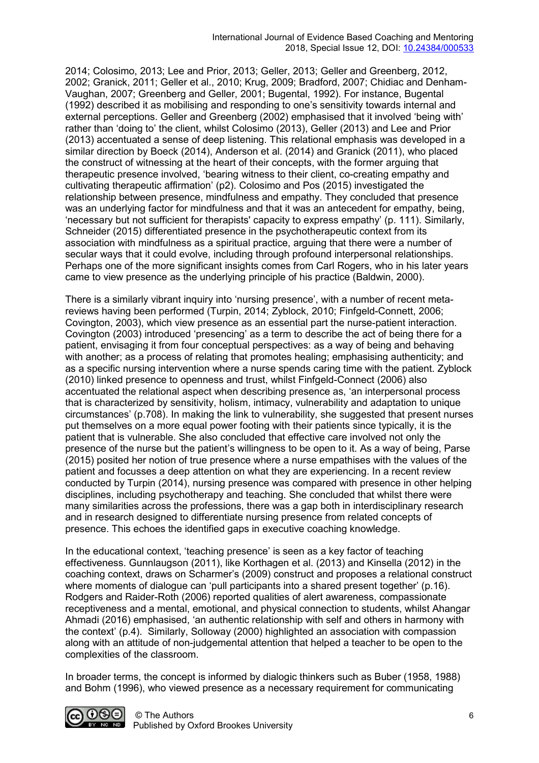2014; Colosimo, 2013; Lee and Prior, 2013; Geller, 2013; Geller and Greenberg, 2012, 2002; Granick, 2011; Geller et al., 2010; Krug, 2009; Bradford, 2007; Chidiac and Denham-Vaughan, 2007; Greenberg and Geller, 2001; Bugental, 1992). For instance, Bugental (1992) described it as mobilising and responding to one's sensitivity towards internal and external perceptions. Geller and Greenberg (2002) emphasised that it involved 'being with' rather than 'doing to' the client, whilst Colosimo (2013), Geller (2013) and Lee and Prior (2013) accentuated a sense of deep listening. This relational emphasis was developed in a similar direction by Boeck (2014), Anderson et al. (2014) and Granick (2011), who placed the construct of witnessing at the heart of their concepts, with the former arguing that therapeutic presence involved, 'bearing witness to their client, co-creating empathy and cultivating therapeutic affirmation' (p2). Colosimo and Pos (2015) investigated the relationship between presence, mindfulness and empathy. They concluded that presence was an underlying factor for mindfulness and that it was an antecedent for empathy, being, 'necessary but not sufficient for therapists' capacity to express empathy' (p. 111). Similarly, Schneider (2015) differentiated presence in the psychotherapeutic context from its association with mindfulness as a spiritual practice, arguing that there were a number of secular ways that it could evolve, including through profound interpersonal relationships. Perhaps one of the more significant insights comes from Carl Rogers, who in his later years came to view presence as the underlying principle of his practice (Baldwin, 2000).

There is a similarly vibrant inquiry into 'nursing presence', with a number of recent metareviews having been performed (Turpin, 2014; Zyblock, 2010; Finfgeld-Connett, 2006; Covington, 2003), which view presence as an essential part the nurse-patient interaction. Covington (2003) introduced 'presencing' as a term to describe the act of being there for a patient, envisaging it from four conceptual perspectives: as a way of being and behaving with another; as a process of relating that promotes healing; emphasising authenticity; and as a specific nursing intervention where a nurse spends caring time with the patient. Zyblock (2010) linked presence to openness and trust, whilst Finfgeld-Connect (2006) also accentuated the relational aspect when describing presence as, 'an interpersonal process that is characterized by sensitivity, holism, intimacy, vulnerability and adaptation to unique circumstances' (p.708). In making the link to vulnerability, she suggested that present nurses put themselves on a more equal power footing with their patients since typically, it is the patient that is vulnerable. She also concluded that effective care involved not only the presence of the nurse but the patient's willingness to be open to it. As a way of being, Parse (2015) posited her notion of true presence where a nurse empathises with the values of the patient and focusses a deep attention on what they are experiencing. In a recent review conducted by Turpin (2014), nursing presence was compared with presence in other helping disciplines, including psychotherapy and teaching. She concluded that whilst there were many similarities across the professions, there was a gap both in interdisciplinary research and in research designed to differentiate nursing presence from related concepts of presence. This echoes the identified gaps in executive coaching knowledge.

In the educational context, 'teaching presence' is seen as a key factor of teaching effectiveness. Gunnlaugson (2011), like Korthagen et al. (2013) and Kinsella (2012) in the coaching context, draws on Scharmer's (2009) construct and proposes a relational construct where moments of dialogue can 'pull participants into a shared present together' (p.16). Rodgers and Raider-Roth (2006) reported qualities of alert awareness, compassionate receptiveness and a mental, emotional, and physical connection to students, whilst Ahangar Ahmadi (2016) emphasised, 'an authentic relationship with self and others in harmony with the context' (p.4). Similarly, Solloway (2000) highlighted an association with compassion along with an attitude of non-judgemental attention that helped a teacher to be open to the complexities of the classroom.

In broader terms, the concept is informed by dialogic thinkers such as Buber (1958, 1988) and Bohm (1996), who viewed presence as a necessary requirement for communicating

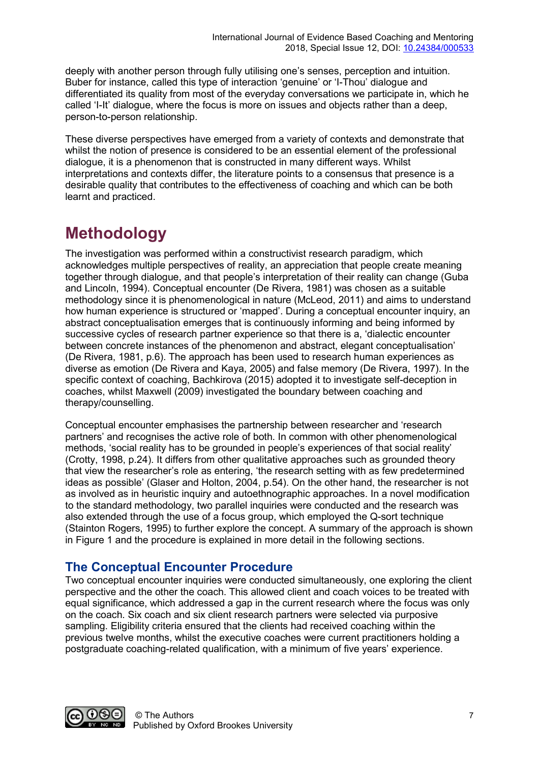deeply with another person through fully utilising one's senses, perception and intuition. Buber for instance, called this type of interaction 'genuine' or 'I-Thou' dialogue and differentiated its quality from most of the everyday conversations we participate in, which he called 'I-It' dialogue, where the focus is more on issues and objects rather than a deep, person-to-person relationship.

These diverse perspectives have emerged from a variety of contexts and demonstrate that whilst the notion of presence is considered to be an essential element of the professional dialogue, it is a phenomenon that is constructed in many different ways. Whilst interpretations and contexts differ, the literature points to a consensus that presence is a desirable quality that contributes to the effectiveness of coaching and which can be both learnt and practiced.

### **Methodology**

The investigation was performed within a constructivist research paradigm, which acknowledges multiple perspectives of reality, an appreciation that people create meaning together through dialogue, and that people's interpretation of their reality can change (Guba and Lincoln, 1994). Conceptual encounter (De Rivera, 1981) was chosen as a suitable methodology since it is phenomenological in nature (McLeod, 2011) and aims to understand how human experience is structured or 'mapped'. During a conceptual encounter inquiry, an abstract conceptualisation emerges that is continuously informing and being informed by successive cycles of research partner experience so that there is a, 'dialectic encounter between concrete instances of the phenomenon and abstract, elegant conceptualisation' (De Rivera, 1981, p.6). The approach has been used to research human experiences as diverse as emotion (De Rivera and Kaya, 2005) and false memory (De Rivera, 1997). In the specific context of coaching, Bachkirova (2015) adopted it to investigate self-deception in coaches, whilst Maxwell (2009) investigated the boundary between coaching and therapy/counselling.

Conceptual encounter emphasises the partnership between researcher and 'research partners' and recognises the active role of both. In common with other phenomenological methods, 'social reality has to be grounded in people's experiences of that social reality' (Crotty, 1998, p.24). It differs from other qualitative approaches such as grounded theory that view the researcher's role as entering, 'the research setting with as few predetermined ideas as possible' (Glaser and Holton, 2004, p.54). On the other hand, the researcher is not as involved as in heuristic inquiry and autoethnographic approaches. In a novel modification to the standard methodology, two parallel inquiries were conducted and the research was also extended through the use of a focus group, which employed the Q-sort technique (Stainton Rogers, 1995) to further explore the concept. A summary of the approach is shown in Figure 1 and the procedure is explained in more detail in the following sections.

#### **The Conceptual Encounter Procedure**

Two conceptual encounter inquiries were conducted simultaneously, one exploring the client perspective and the other the coach. This allowed client and coach voices to be treated with equal significance, which addressed a gap in the current research where the focus was only on the coach. Six coach and six client research partners were selected via purposive sampling. Eligibility criteria ensured that the clients had received coaching within the previous twelve months, whilst the executive coaches were current practitioners holding a postgraduate coaching-related qualification, with a minimum of five years' experience.

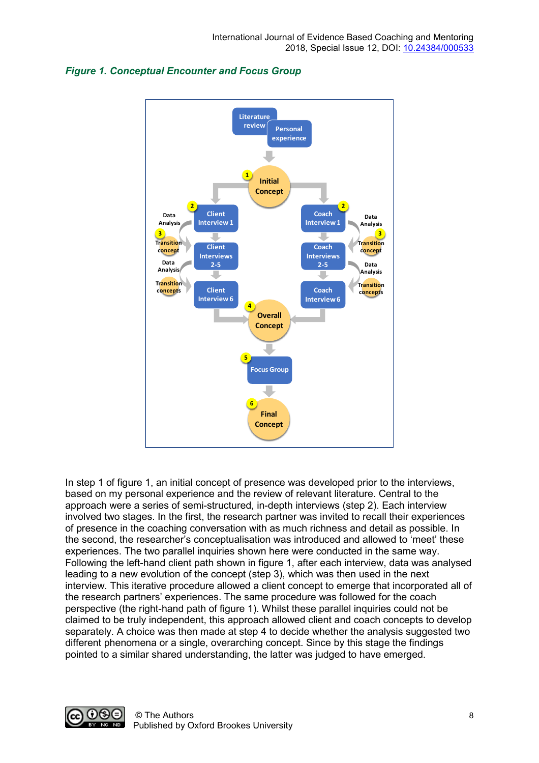



In step 1 of figure 1, an initial concept of presence was developed prior to the interviews, based on my personal experience and the review of relevant literature. Central to the approach were a series of semi-structured, in-depth interviews (step 2). Each interview involved two stages. In the first, the research partner was invited to recall their experiences of presence in the coaching conversation with as much richness and detail as possible. In the second, the researcher's conceptualisation was introduced and allowed to 'meet' these experiences. The two parallel inquiries shown here were conducted in the same way. Following the left-hand client path shown in figure 1, after each interview, data was analysed leading to a new evolution of the concept (step 3), which was then used in the next interview. This iterative procedure allowed a client concept to emerge that incorporated all of the research partners' experiences. The same procedure was followed for the coach perspective (the right-hand path of figure 1). Whilst these parallel inquiries could not be claimed to be truly independent, this approach allowed client and coach concepts to develop separately. A choice was then made at step 4 to decide whether the analysis suggested two different phenomena or a single, overarching concept. Since by this stage the findings pointed to a similar shared understanding, the latter was judged to have emerged.

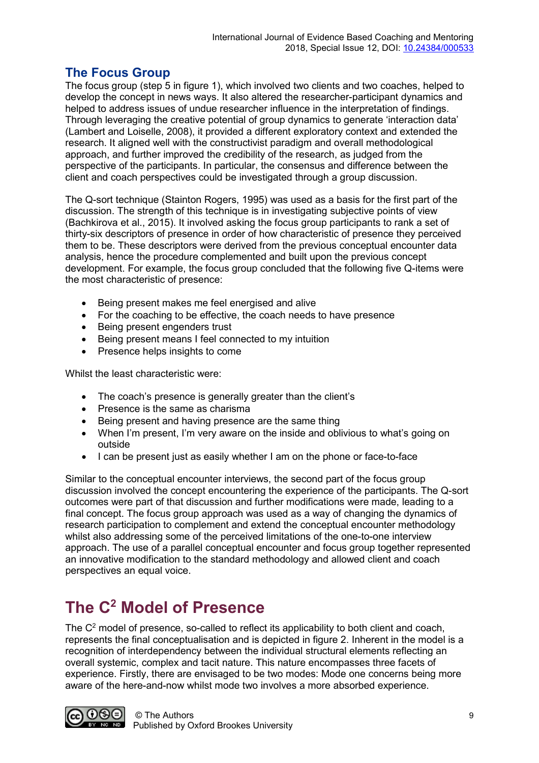#### **The Focus Group**

The focus group (step 5 in figure 1), which involved two clients and two coaches, helped to develop the concept in news ways. It also altered the researcher-participant dynamics and helped to address issues of undue researcher influence in the interpretation of findings. Through leveraging the creative potential of group dynamics to generate 'interaction data' (Lambert and Loiselle, 2008), it provided a different exploratory context and extended the research. It aligned well with the constructivist paradigm and overall methodological approach, and further improved the credibility of the research, as judged from the perspective of the participants. In particular, the consensus and difference between the client and coach perspectives could be investigated through a group discussion.

The Q-sort technique (Stainton Rogers, 1995) was used as a basis for the first part of the discussion. The strength of this technique is in investigating subjective points of view (Bachkirova et al., 2015). It involved asking the focus group participants to rank a set of thirty-six descriptors of presence in order of how characteristic of presence they perceived them to be. These descriptors were derived from the previous conceptual encounter data analysis, hence the procedure complemented and built upon the previous concept development. For example, the focus group concluded that the following five Q-items were the most characteristic of presence:

- Being present makes me feel energised and alive
- For the coaching to be effective, the coach needs to have presence
- Being present engenders trust
- Being present means I feel connected to my intuition
- Presence helps insights to come

Whilst the least characteristic were:

- The coach's presence is generally greater than the client's
- Presence is the same as charisma
- Being present and having presence are the same thing
- When I'm present, I'm very aware on the inside and oblivious to what's going on outside
- I can be present just as easily whether I am on the phone or face-to-face

Similar to the conceptual encounter interviews, the second part of the focus group discussion involved the concept encountering the experience of the participants. The Q-sort outcomes were part of that discussion and further modifications were made, leading to a final concept. The focus group approach was used as a way of changing the dynamics of research participation to complement and extend the conceptual encounter methodology whilst also addressing some of the perceived limitations of the one-to-one interview approach. The use of a parallel conceptual encounter and focus group together represented an innovative modification to the standard methodology and allowed client and coach perspectives an equal voice.

# **The C2 Model of Presence**

The  $C<sup>2</sup>$  model of presence, so-called to reflect its applicability to both client and coach, represents the final conceptualisation and is depicted in figure 2. Inherent in the model is a recognition of interdependency between the individual structural elements reflecting an overall systemic, complex and tacit nature. This nature encompasses three facets of experience. Firstly, there are envisaged to be two modes: Mode one concerns being more aware of the here-and-now whilst mode two involves a more absorbed experience.

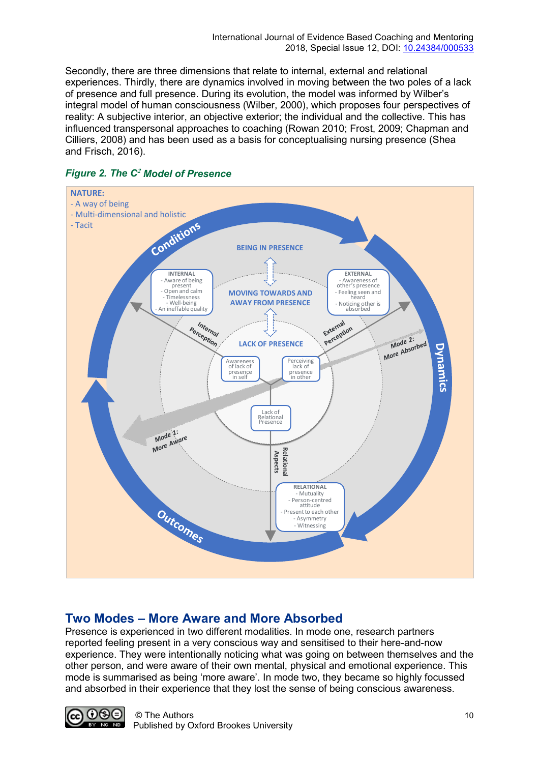Secondly, there are three dimensions that relate to internal, external and relational experiences. Thirdly, there are dynamics involved in moving between the two poles of a lack of presence and full presence. During its evolution, the model was informed by Wilber's integral model of human consciousness (Wilber, 2000), which proposes four perspectives of reality: A subjective interior, an objective exterior; the individual and the collective. This has influenced transpersonal approaches to coaching (Rowan 2010; Frost, 2009; Chapman and Cilliers, 2008) and has been used as a basis for conceptualising nursing presence (Shea and Frisch, 2016).



#### *Figure 2. The C***<sup>2</sup>** *Model of Presence*

#### **Two Modes – More Aware and More Absorbed**

Presence is experienced in two different modalities. In mode one, research partners reported feeling present in a very conscious way and sensitised to their here-and-now experience. They were intentionally noticing what was going on between themselves and the other person, and were aware of their own mental, physical and emotional experience. This mode is summarised as being 'more aware'. In mode two, they became so highly focussed and absorbed in their experience that they lost the sense of being conscious awareness.

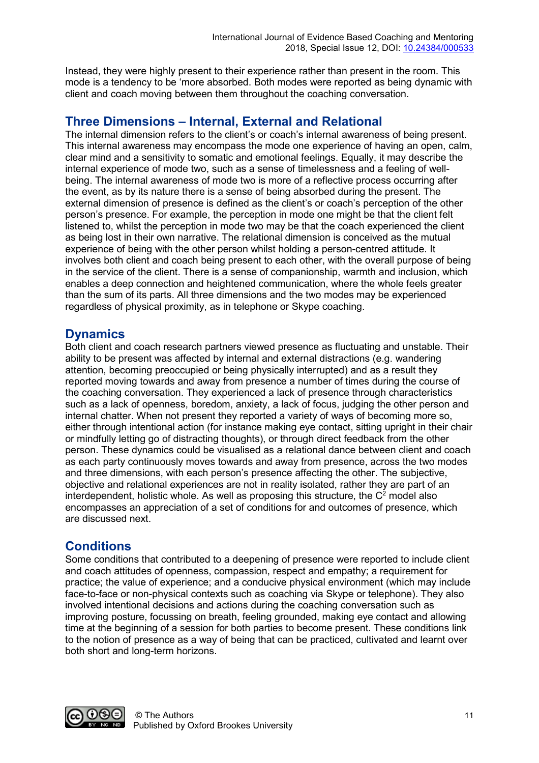Instead, they were highly present to their experience rather than present in the room. This mode is a tendency to be 'more absorbed. Both modes were reported as being dynamic with client and coach moving between them throughout the coaching conversation.

#### **Three Dimensions – Internal, External and Relational**

The internal dimension refers to the client's or coach's internal awareness of being present. This internal awareness may encompass the mode one experience of having an open, calm, clear mind and a sensitivity to somatic and emotional feelings. Equally, it may describe the internal experience of mode two, such as a sense of timelessness and a feeling of wellbeing. The internal awareness of mode two is more of a reflective process occurring after the event, as by its nature there is a sense of being absorbed during the present. The external dimension of presence is defined as the client's or coach's perception of the other person's presence. For example, the perception in mode one might be that the client felt listened to, whilst the perception in mode two may be that the coach experienced the client as being lost in their own narrative. The relational dimension is conceived as the mutual experience of being with the other person whilst holding a person-centred attitude. It involves both client and coach being present to each other, with the overall purpose of being in the service of the client. There is a sense of companionship, warmth and inclusion, which enables a deep connection and heightened communication, where the whole feels greater than the sum of its parts. All three dimensions and the two modes may be experienced regardless of physical proximity, as in telephone or Skype coaching.

#### **Dynamics**

Both client and coach research partners viewed presence as fluctuating and unstable. Their ability to be present was affected by internal and external distractions (e.g. wandering attention, becoming preoccupied or being physically interrupted) and as a result they reported moving towards and away from presence a number of times during the course of the coaching conversation. They experienced a lack of presence through characteristics such as a lack of openness, boredom, anxiety, a lack of focus, judging the other person and internal chatter. When not present they reported a variety of ways of becoming more so, either through intentional action (for instance making eye contact, sitting upright in their chair or mindfully letting go of distracting thoughts), or through direct feedback from the other person. These dynamics could be visualised as a relational dance between client and coach as each party continuously moves towards and away from presence, across the two modes and three dimensions, with each person's presence affecting the other. The subjective, objective and relational experiences are not in reality isolated, rather they are part of an interdependent, holistic whole. As well as proposing this structure, the  $C<sup>2</sup>$  model also encompasses an appreciation of a set of conditions for and outcomes of presence, which are discussed next.

#### **Conditions**

Some conditions that contributed to a deepening of presence were reported to include client and coach attitudes of openness, compassion, respect and empathy; a requirement for practice; the value of experience; and a conducive physical environment (which may include face-to-face or non-physical contexts such as coaching via Skype or telephone). They also involved intentional decisions and actions during the coaching conversation such as improving posture, focussing on breath, feeling grounded, making eye contact and allowing time at the beginning of a session for both parties to become present. These conditions link to the notion of presence as a way of being that can be practiced, cultivated and learnt over both short and long-term horizons.

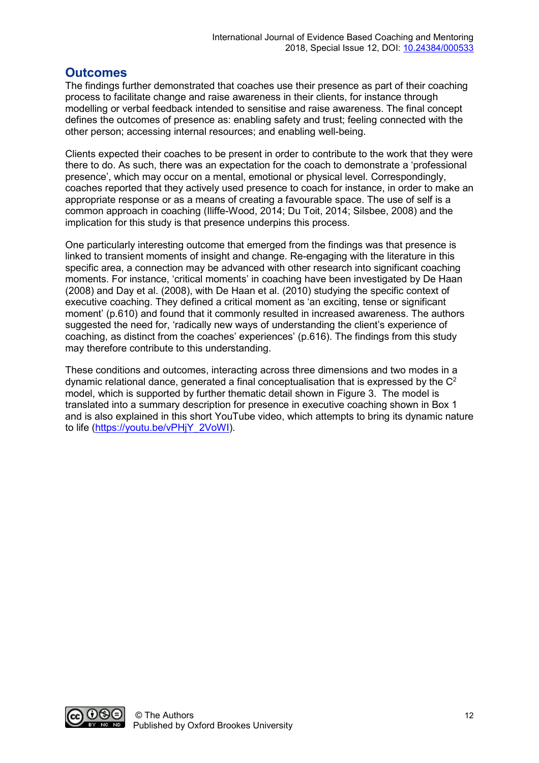#### **Outcomes**

The findings further demonstrated that coaches use their presence as part of their coaching process to facilitate change and raise awareness in their clients, for instance through modelling or verbal feedback intended to sensitise and raise awareness. The final concept defines the outcomes of presence as: enabling safety and trust; feeling connected with the other person; accessing internal resources; and enabling well-being.

Clients expected their coaches to be present in order to contribute to the work that they were there to do. As such, there was an expectation for the coach to demonstrate a 'professional presence', which may occur on a mental, emotional or physical level. Correspondingly, coaches reported that they actively used presence to coach for instance, in order to make an appropriate response or as a means of creating a favourable space. The use of self is a common approach in coaching (Iliffe-Wood, 2014; Du Toit, 2014; Silsbee, 2008) and the implication for this study is that presence underpins this process.

One particularly interesting outcome that emerged from the findings was that presence is linked to transient moments of insight and change. Re-engaging with the literature in this specific area, a connection may be advanced with other research into significant coaching moments. For instance, 'critical moments' in coaching have been investigated by De Haan (2008) and Day et al. (2008), with De Haan et al. (2010) studying the specific context of executive coaching. They defined a critical moment as 'an exciting, tense or significant moment' (p.610) and found that it commonly resulted in increased awareness. The authors suggested the need for, 'radically new ways of understanding the client's experience of coaching, as distinct from the coaches' experiences' (p.616). The findings from this study may therefore contribute to this understanding.

These conditions and outcomes, interacting across three dimensions and two modes in a dynamic relational dance, generated a final conceptualisation that is expressed by the  $C<sup>2</sup>$ model, which is supported by further thematic detail shown in Figure 3. The model is translated into a summary description for presence in executive coaching shown in Box 1 and is also explained in this short YouTube video, which attempts to bring its dynamic nature to life [\(https://youtu.be/vPHjY\\_2VoWI\)](https://youtu.be/vPHjY_2VoWI).

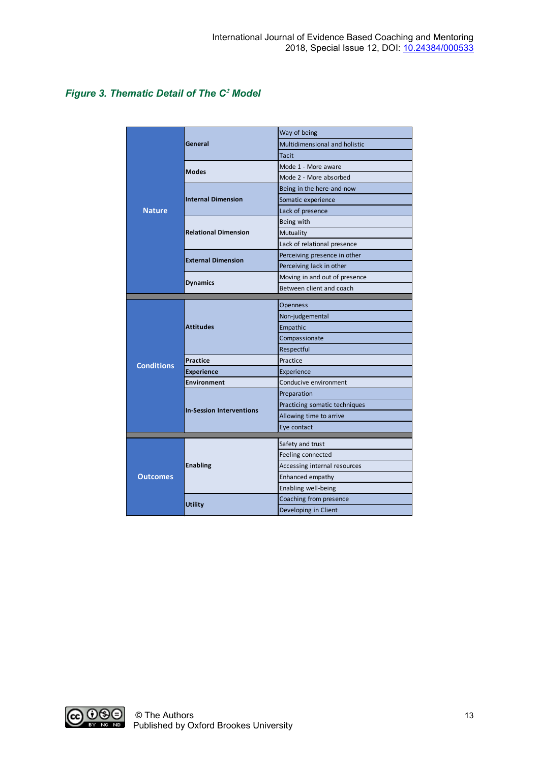#### *Figure 3. Thematic Detail of The C***<sup>2</sup>** *Model*

| <b>Nature</b>     | General                         | Way of being                  |
|-------------------|---------------------------------|-------------------------------|
|                   |                                 | Multidimensional and holistic |
|                   |                                 | <b>Tacit</b>                  |
|                   | <b>Modes</b>                    | Mode 1 - More aware           |
|                   |                                 | Mode 2 - More absorbed        |
|                   | <b>Internal Dimension</b>       | Being in the here-and-now     |
|                   |                                 | Somatic experience            |
|                   |                                 | Lack of presence              |
|                   | <b>Relational Dimension</b>     | Being with                    |
|                   |                                 | Mutuality                     |
|                   |                                 | Lack of relational presence   |
|                   | <b>External Dimension</b>       | Perceiving presence in other  |
|                   |                                 | Perceiving lack in other      |
|                   | <b>Dynamics</b>                 | Moving in and out of presence |
|                   |                                 | Between client and coach      |
| <b>Conditions</b> | <b>Attitudes</b>                | Openness                      |
|                   |                                 | Non-judgemental               |
|                   |                                 | Empathic                      |
|                   |                                 | Compassionate                 |
|                   |                                 | Respectful                    |
|                   | <b>Practice</b>                 | Practice                      |
|                   | <b>Experience</b>               | Experience                    |
|                   | <b>Environment</b>              | Conducive environment         |
|                   | <b>In-Session Interventions</b> | Preparation                   |
|                   |                                 | Practicing somatic techniques |
|                   |                                 | Allowing time to arrive       |
|                   |                                 | Eye contact                   |
|                   | <b>Enabling</b>                 |                               |
| <b>Outcomes</b>   |                                 | Safety and trust              |
|                   |                                 | Feeling connected             |
|                   |                                 | Accessing internal resources  |
|                   |                                 | Enhanced empathy              |
|                   |                                 | Enabling well-being           |
|                   | <b>Utility</b>                  | Coaching from presence        |
|                   |                                 | Developing in Client          |

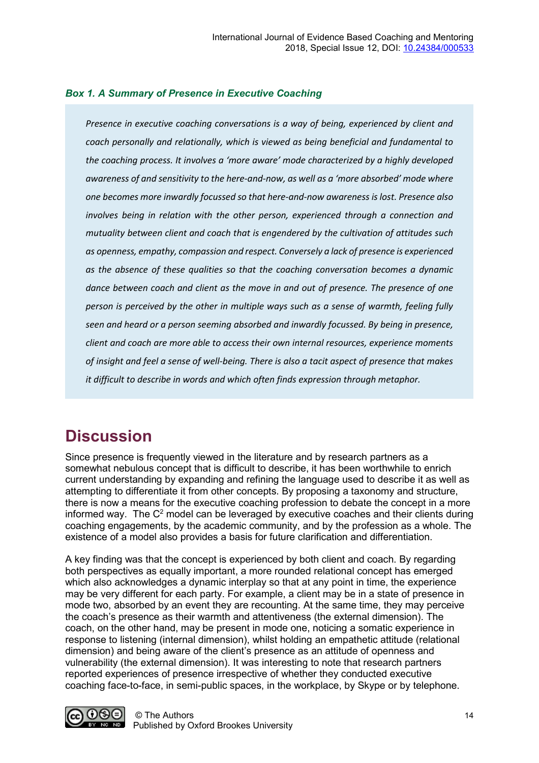#### *Box 1. A Summary of Presence in Executive Coaching*

*Presence in executive coaching conversations is a way of being, experienced by client and coach personally and relationally, which is viewed as being beneficial and fundamental to the coaching process. It involves a 'more aware' mode characterized by a highly developed awareness of and sensitivity to the here-and-now, as well as a 'more absorbed' mode where one becomes more inwardly focussed so that here-and-now awareness is lost. Presence also involves being in relation with the other person, experienced through a connection and mutuality between client and coach that is engendered by the cultivation of attitudes such as openness, empathy, compassion and respect. Conversely a lack of presence is experienced as the absence of these qualities so that the coaching conversation becomes a dynamic dance between coach and client as the move in and out of presence. The presence of one person is perceived by the other in multiple ways such as a sense of warmth, feeling fully seen and heard or a person seeming absorbed and inwardly focussed. By being in presence, client and coach are more able to access their own internal resources, experience moments of insight and feel a sense of well-being. There is also a tacit aspect of presence that makes it difficult to describe in words and which often finds expression through metaphor.*

### **Discussion**

Since presence is frequently viewed in the literature and by research partners as a somewhat nebulous concept that is difficult to describe, it has been worthwhile to enrich current understanding by expanding and refining the language used to describe it as well as attempting to differentiate it from other concepts. By proposing a taxonomy and structure, there is now a means for the executive coaching profession to debate the concept in a more informed way. The  $C<sup>2</sup>$  model can be leveraged by executive coaches and their clients during coaching engagements, by the academic community, and by the profession as a whole. The existence of a model also provides a basis for future clarification and differentiation.

A key finding was that the concept is experienced by both client and coach. By regarding both perspectives as equally important, a more rounded relational concept has emerged which also acknowledges a dynamic interplay so that at any point in time, the experience may be very different for each party. For example, a client may be in a state of presence in mode two, absorbed by an event they are recounting. At the same time, they may perceive the coach's presence as their warmth and attentiveness (the external dimension). The coach, on the other hand, may be present in mode one, noticing a somatic experience in response to listening (internal dimension), whilst holding an empathetic attitude (relational dimension) and being aware of the client's presence as an attitude of openness and vulnerability (the external dimension). It was interesting to note that research partners reported experiences of presence irrespective of whether they conducted executive coaching face-to-face, in semi-public spaces, in the workplace, by Skype or by telephone.

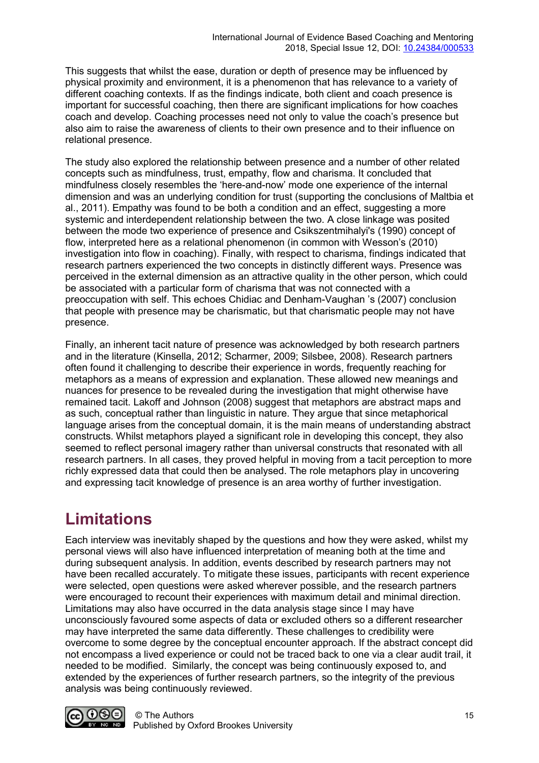This suggests that whilst the ease, duration or depth of presence may be influenced by physical proximity and environment, it is a phenomenon that has relevance to a variety of different coaching contexts. If as the findings indicate, both client and coach presence is important for successful coaching, then there are significant implications for how coaches coach and develop. Coaching processes need not only to value the coach's presence but also aim to raise the awareness of clients to their own presence and to their influence on relational presence.

The study also explored the relationship between presence and a number of other related concepts such as mindfulness, trust, empathy, flow and charisma. It concluded that mindfulness closely resembles the 'here-and-now' mode one experience of the internal dimension and was an underlying condition for trust (supporting the conclusions of Maltbia et al., 2011). Empathy was found to be both a condition and an effect, suggesting a more systemic and interdependent relationship between the two. A close linkage was posited between the mode two experience of presence and Csikszentmihalyi's (1990) concept of flow, interpreted here as a relational phenomenon (in common with Wesson's (2010) investigation into flow in coaching). Finally, with respect to charisma, findings indicated that research partners experienced the two concepts in distinctly different ways. Presence was perceived in the external dimension as an attractive quality in the other person, which could be associated with a particular form of charisma that was not connected with a preoccupation with self. This echoes Chidiac and Denham-Vaughan 's (2007) conclusion that people with presence may be charismatic, but that charismatic people may not have presence.

Finally, an inherent tacit nature of presence was acknowledged by both research partners and in the literature (Kinsella, 2012; Scharmer, 2009; Silsbee, 2008). Research partners often found it challenging to describe their experience in words, frequently reaching for metaphors as a means of expression and explanation. These allowed new meanings and nuances for presence to be revealed during the investigation that might otherwise have remained tacit. Lakoff and Johnson (2008) suggest that metaphors are abstract maps and as such, conceptual rather than linguistic in nature. They argue that since metaphorical language arises from the conceptual domain, it is the main means of understanding abstract constructs. Whilst metaphors played a significant role in developing this concept, they also seemed to reflect personal imagery rather than universal constructs that resonated with all research partners. In all cases, they proved helpful in moving from a tacit perception to more richly expressed data that could then be analysed. The role metaphors play in uncovering and expressing tacit knowledge of presence is an area worthy of further investigation.

# **Limitations**

Each interview was inevitably shaped by the questions and how they were asked, whilst my personal views will also have influenced interpretation of meaning both at the time and during subsequent analysis. In addition, events described by research partners may not have been recalled accurately. To mitigate these issues, participants with recent experience were selected, open questions were asked wherever possible, and the research partners were encouraged to recount their experiences with maximum detail and minimal direction. Limitations may also have occurred in the data analysis stage since I may have unconsciously favoured some aspects of data or excluded others so a different researcher may have interpreted the same data differently. These challenges to credibility were overcome to some degree by the conceptual encounter approach. If the abstract concept did not encompass a lived experience or could not be traced back to one via a clear audit trail, it needed to be modified. Similarly, the concept was being continuously exposed to, and extended by the experiences of further research partners, so the integrity of the previous analysis was being continuously reviewed.

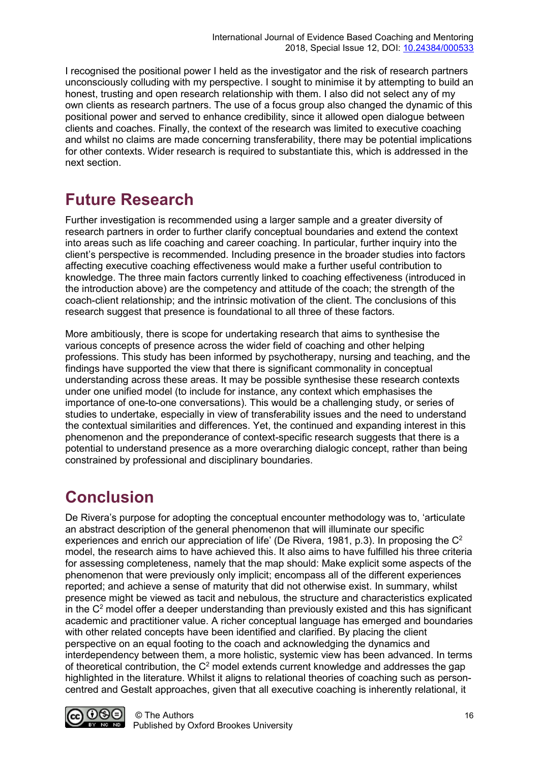I recognised the positional power I held as the investigator and the risk of research partners unconsciously colluding with my perspective. I sought to minimise it by attempting to build an honest, trusting and open research relationship with them. I also did not select any of my own clients as research partners. The use of a focus group also changed the dynamic of this positional power and served to enhance credibility, since it allowed open dialogue between clients and coaches. Finally, the context of the research was limited to executive coaching and whilst no claims are made concerning transferability, there may be potential implications for other contexts. Wider research is required to substantiate this, which is addressed in the next section.

# **Future Research**

Further investigation is recommended using a larger sample and a greater diversity of research partners in order to further clarify conceptual boundaries and extend the context into areas such as life coaching and career coaching. In particular, further inquiry into the client's perspective is recommended. Including presence in the broader studies into factors affecting executive coaching effectiveness would make a further useful contribution to knowledge. The three main factors currently linked to coaching effectiveness (introduced in the introduction above) are the competency and attitude of the coach; the strength of the coach-client relationship; and the intrinsic motivation of the client. The conclusions of this research suggest that presence is foundational to all three of these factors.

More ambitiously, there is scope for undertaking research that aims to synthesise the various concepts of presence across the wider field of coaching and other helping professions. This study has been informed by psychotherapy, nursing and teaching, and the findings have supported the view that there is significant commonality in conceptual understanding across these areas. It may be possible synthesise these research contexts under one unified model (to include for instance, any context which emphasises the importance of one-to-one conversations). This would be a challenging study, or series of studies to undertake, especially in view of transferability issues and the need to understand the contextual similarities and differences. Yet, the continued and expanding interest in this phenomenon and the preponderance of context-specific research suggests that there is a potential to understand presence as a more overarching dialogic concept, rather than being constrained by professional and disciplinary boundaries.

# **Conclusion**

De Rivera's purpose for adopting the conceptual encounter methodology was to, 'articulate an abstract description of the general phenomenon that will illuminate our specific experiences and enrich our appreciation of life' (De Rivera, 1981, p.3). In proposing the C<sup>2</sup> model, the research aims to have achieved this. It also aims to have fulfilled his three criteria for assessing completeness, namely that the map should: Make explicit some aspects of the phenomenon that were previously only implicit; encompass all of the different experiences reported; and achieve a sense of maturity that did not otherwise exist. In summary, whilst presence might be viewed as tacit and nebulous, the structure and characteristics explicated in the  $C<sup>2</sup>$  model offer a deeper understanding than previously existed and this has significant academic and practitioner value. A richer conceptual language has emerged and boundaries with other related concepts have been identified and clarified. By placing the client perspective on an equal footing to the coach and acknowledging the dynamics and interdependency between them, a more holistic, systemic view has been advanced. In terms of theoretical contribution, the  $C<sup>2</sup>$  model extends current knowledge and addresses the gap highlighted in the literature. Whilst it aligns to relational theories of coaching such as personcentred and Gestalt approaches, given that all executive coaching is inherently relational, it

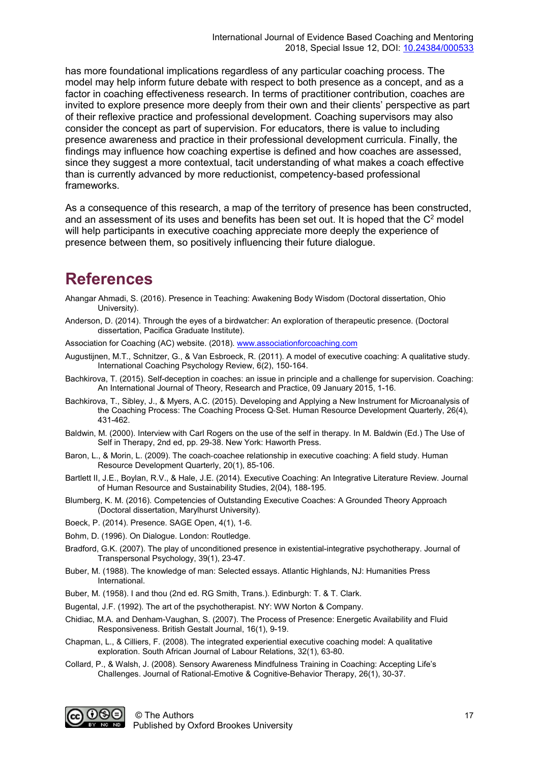has more foundational implications regardless of any particular coaching process. The model may help inform future debate with respect to both presence as a concept, and as a factor in coaching effectiveness research. In terms of practitioner contribution, coaches are invited to explore presence more deeply from their own and their clients' perspective as part of their reflexive practice and professional development. Coaching supervisors may also consider the concept as part of supervision. For educators, there is value to including presence awareness and practice in their professional development curricula. Finally, the findings may influence how coaching expertise is defined and how coaches are assessed, since they suggest a more contextual, tacit understanding of what makes a coach effective than is currently advanced by more reductionist, competency-based professional frameworks.

As a consequence of this research, a map of the territory of presence has been constructed, and an assessment of its uses and benefits has been set out. It is hoped that the  $C<sup>2</sup>$  model will help participants in executive coaching appreciate more deeply the experience of presence between them, so positively influencing their future dialogue.

### **References**

- Ahangar Ahmadi, S. (2016). Presence in Teaching: Awakening Body Wisdom (Doctoral dissertation, Ohio University).
- Anderson, D. (2014). Through the eyes of a birdwatcher: An exploration of therapeutic presence. (Doctoral dissertation, Pacifica Graduate Institute).

Association for Coaching (AC) website. (2018)[. www.associationforcoaching.com](http://www.associationforcoaching.com/) 

- Augustijnen, M.T., Schnitzer, G., & Van Esbroeck, R. (2011). A model of executive coaching: A qualitative study. International Coaching Psychology Review, 6(2), 150-164.
- Bachkirova, T. (2015). Self-deception in coaches: an issue in principle and a challenge for supervision. Coaching: An International Journal of Theory, Research and Practice, 09 January 2015, 1-16.
- Bachkirova, T., Sibley, J., & Myers, A.C. (2015). Developing and Applying a New Instrument for Microanalysis of the Coaching Process: The Coaching Process Q‐Set. Human Resource Development Quarterly, 26(4), 431-462.
- Baldwin, M. (2000). Interview with Carl Rogers on the use of the self in therapy. In M. Baldwin (Ed.) The Use of Self in Therapy, 2nd ed, pp. 29-38. New York: Haworth Press.
- Baron, L., & Morin, L. (2009). The coach‐coachee relationship in executive coaching: A field study. Human Resource Development Quarterly, 20(1), 85-106.
- Bartlett II, J.E., Boylan, R.V., & Hale, J.E. (2014). Executive Coaching: An Integrative Literature Review. Journal of Human Resource and Sustainability Studies, 2(04), 188-195.
- Blumberg, K. M. (2016). Competencies of Outstanding Executive Coaches: A Grounded Theory Approach (Doctoral dissertation, Marylhurst University).
- Boeck, P. (2014). Presence. SAGE Open, 4(1), 1-6.
- Bohm, D. (1996). On Dialogue. London: Routledge.
- Bradford, G.K. (2007). The play of unconditioned presence in existential-integrative psychotherapy. Journal of Transpersonal Psychology, 39(1), 23-47.
- Buber, M. (1988). The knowledge of man: Selected essays. Atlantic Highlands, NJ: Humanities Press International.
- Buber, M. (1958). I and thou (2nd ed. RG Smith, Trans.). Edinburgh: T. & T. Clark.
- Bugental, J.F. (1992). The art of the psychotherapist. NY: WW Norton & Company.
- Chidiac, M.A. and Denham-Vaughan, S. (2007). The Process of Presence: Energetic Availability and Fluid Responsiveness. British Gestalt Journal, 16(1), 9-19.
- Chapman, L., & Cilliers, F. (2008). The integrated experiential executive coaching model: A qualitative exploration. South African Journal of Labour Relations, 32(1), 63-80.
- Collard, P., & Walsh, J. (2008). Sensory Awareness Mindfulness Training in Coaching: Accepting Life's Challenges. Journal of Rational-Emotive & Cognitive-Behavior Therapy, 26(1), 30-37.

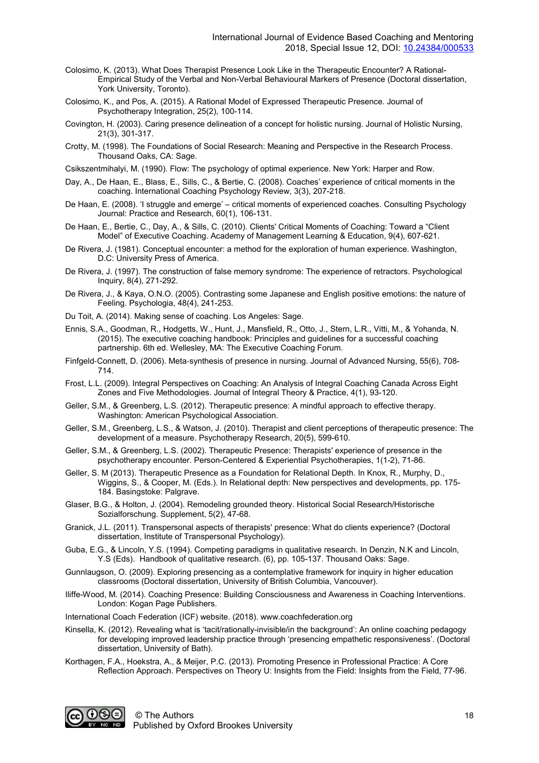- Colosimo, K. (2013). What Does Therapist Presence Look Like in the Therapeutic Encounter? A Rational-Empirical Study of the Verbal and Non-Verbal Behavioural Markers of Presence (Doctoral dissertation, York University, Toronto).
- Colosimo, K., and Pos, A. (2015). A Rational Model of Expressed Therapeutic Presence. Journal of Psychotherapy Integration, 25(2), 100-114.
- Covington, H. (2003). Caring presence delineation of a concept for holistic nursing. Journal of Holistic Nursing, 21(3), 301-317.
- Crotty, M. (1998). The Foundations of Social Research: Meaning and Perspective in the Research Process. Thousand Oaks, CA: Sage.
- Csikszentmihalyi, M. (1990). Flow: The psychology of optimal experience. New York: Harper and Row.
- Day, A., De Haan, E., Blass, E., Sills, C., & Bertie, C. (2008). Coaches' experience of critical moments in the coaching. International Coaching Psychology Review, 3(3), 207-218.
- De Haan, E. (2008). 'I struggle and emerge' critical moments of experienced coaches. Consulting Psychology Journal: Practice and Research, 60(1), 106-131.
- De Haan, E., Bertie, C., Day, A., & Sills, C. (2010). Clients' Critical Moments of Coaching: Toward a "Client Model" of Executive Coaching. Academy of Management Learning & Education, 9(4), 607-621.
- De Rivera, J. (1981). Conceptual encounter: a method for the exploration of human experience. Washington, D.C: University Press of America.
- De Rivera, J. (1997). The construction of false memory syndrome: The experience of retractors. Psychological Inquiry, 8(4), 271-292.
- De Rivera, J., & Kaya, O.N.O. (2005). Contrasting some Japanese and English positive emotions: the nature of Feeling. Psychologia, 48(4), 241-253.
- Du Toit, A. (2014). Making sense of coaching. Los Angeles: Sage.
- Ennis, S.A., Goodman, R., Hodgetts, W., Hunt, J., Mansfield, R., Otto, J., Stern, L.R., Vitti, M., & Yohanda, N. (2015). The executive coaching handbook: Principles and guidelines for a successful coaching partnership. 6th ed. Wellesley, MA: The Executive Coaching Forum.
- Finfgeld‐Connett, D. (2006). Meta‐synthesis of presence in nursing. Journal of Advanced Nursing, 55(6), 708- 714.
- Frost, L.L. (2009). Integral Perspectives on Coaching: An Analysis of Integral Coaching Canada Across Eight Zones and Five Methodologies. Journal of Integral Theory & Practice, 4(1), 93-120.
- Geller, S.M., & Greenberg, L.S. (2012). Therapeutic presence: A mindful approach to effective therapy. Washington: American Psychological Association.
- Geller, S.M., Greenberg, L.S., & Watson, J. (2010). Therapist and client perceptions of therapeutic presence: The development of a measure. Psychotherapy Research, 20(5), 599-610.
- Geller, S.M., & Greenberg, L.S. (2002). Therapeutic Presence: Therapists' experience of presence in the psychotherapy encounter. Person-Centered & Experiential Psychotherapies, 1(1-2), 71-86.
- Geller, S. M (2013). Therapeutic Presence as a Foundation for Relational Depth. In Knox, R., Murphy, D., Wiggins, S., & Cooper, M. (Eds.). In Relational depth: New perspectives and developments, pp. 175- 184. Basingstoke: Palgrave.
- Glaser, B.G., & Holton, J. (2004). Remodeling grounded theory. Historical Social Research/Historische Sozialforschung. Supplement, 5(2), 47-68.
- Granick, J.L. (2011). Transpersonal aspects of therapists' presence: What do clients experience? (Doctoral dissertation, Institute of Transpersonal Psychology).
- Guba, E.G., & Lincoln, Y.S. (1994). Competing paradigms in qualitative research. In Denzin, N.K and Lincoln, Y.S (Eds). Handbook of qualitative research. (6), pp. 105-137. Thousand Oaks: Sage.
- Gunnlaugson, O. (2009). Exploring presencing as a contemplative framework for inquiry in higher education classrooms (Doctoral dissertation, University of British Columbia, Vancouver).
- Iliffe-Wood, M. (2014). Coaching Presence: Building Consciousness and Awareness in Coaching Interventions. London: Kogan Page Publishers.
- International Coach Federation (ICF) website. (2018). www.coachfederation.org
- Kinsella, K. (2012). Revealing what is 'tacit/rationally-invisible/in the background': An online coaching pedagogy for developing improved leadership practice through 'presencing empathetic responsiveness'. (Doctoral dissertation, University of Bath).
- Korthagen, F.A., Hoekstra, A., & Meijer, P.C. (2013). Promoting Presence in Professional Practice: A Core Reflection Approach. Perspectives on Theory U: Insights from the Field: Insights from the Field, 77-96.

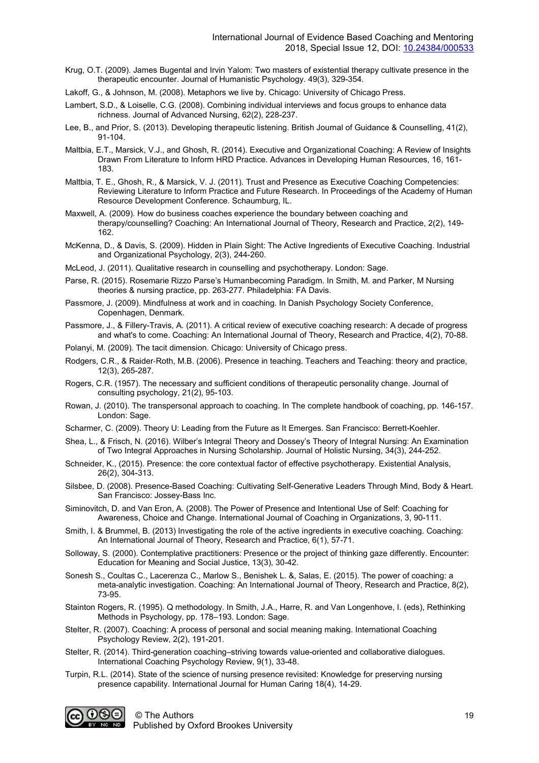- Krug, O.T. (2009). James Bugental and Irvin Yalom: Two masters of existential therapy cultivate presence in the therapeutic encounter. Journal of Humanistic Psychology. 49(3), 329-354.
- Lakoff, G., & Johnson, M. (2008). Metaphors we live by. Chicago: University of Chicago Press.
- Lambert, S.D., & Loiselle, C.G. (2008). Combining individual interviews and focus groups to enhance data richness. Journal of Advanced Nursing, 62(2), 228-237.
- Lee, B., and Prior, S. (2013). Developing therapeutic listening. British Journal of Guidance & Counselling, 41(2), 91-104.
- Maltbia, E.T., Marsick, V.J., and Ghosh, R. (2014). Executive and Organizational Coaching: A Review of Insights Drawn From Literature to Inform HRD Practice. Advances in Developing Human Resources, 16, 161- 183.
- Maltbia, T. E., Ghosh, R., & Marsick, V. J. (2011). Trust and Presence as Executive Coaching Competencies: Reviewing Literature to Inform Practice and Future Research. In Proceedings of the Academy of Human Resource Development Conference. Schaumburg, IL.
- Maxwell, A. (2009). How do business coaches experience the boundary between coaching and therapy/counselling? Coaching: An International Journal of Theory, Research and Practice, 2(2), 149- 162.
- McKenna, D., & Davis, S. (2009). Hidden in Plain Sight: The Active Ingredients of Executive Coaching. Industrial and Organizational Psychology, 2(3), 244-260.
- McLeod, J. (2011). Qualitative research in counselling and psychotherapy. London: Sage.
- Parse, R. (2015). Rosemarie Rizzo Parse's Humanbecoming Paradigm. In Smith, M. and Parker, M Nursing theories & nursing practice, pp. 263-277. Philadelphia: FA Davis.
- Passmore, J. (2009). Mindfulness at work and in coaching. In Danish Psychology Society Conference, Copenhagen, Denmark.
- Passmore, J., & Fillery-Travis, A. (2011). A critical review of executive coaching research: A decade of progress and what's to come. Coaching: An International Journal of Theory, Research and Practice, 4(2), 70-88.
- Polanyi, M. (2009). The tacit dimension. Chicago: University of Chicago press.
- Rodgers, C.R., & Raider‐Roth, M.B. (2006). Presence in teaching. Teachers and Teaching: theory and practice, 12(3), 265-287.
- Rogers, C.R. (1957). The necessary and sufficient conditions of therapeutic personality change. Journal of consulting psychology, 21(2), 95-103.
- Rowan, J. (2010). The transpersonal approach to coaching. In The complete handbook of coaching, pp. 146-157. London: Sage.
- Scharmer, C. (2009). Theory U: Leading from the Future as It Emerges. San Francisco: Berrett-Koehler.
- Shea, L., & Frisch, N. (2016). Wilber's Integral Theory and Dossey's Theory of Integral Nursing: An Examination of Two Integral Approaches in Nursing Scholarship. Journal of Holistic Nursing, 34(3), 244-252.
- Schneider, K., (2015). Presence: the core contextual factor of effective psychotherapy. Existential Analysis, 26(2), 304-313.
- Silsbee, D. (2008). Presence-Based Coaching: Cultivating Self-Generative Leaders Through Mind, Body & Heart. San Francisco: Jossey-Bass Inc.
- Siminovitch, D. and Van Eron, A. (2008). The Power of Presence and Intentional Use of Self: Coaching for Awareness, Choice and Change. International Journal of Coaching in Organizations, 3, 90-111.
- Smith, I. & Brummel, B. (2013) Investigating the role of the active ingredients in executive coaching. Coaching: An International Journal of Theory, Research and Practice, 6(1), 57-71.
- Solloway, S. (2000). Contemplative practitioners: Presence or the project of thinking gaze differently. Encounter: Education for Meaning and Social Justice, 13(3), 30-42.
- Sonesh S., Coultas C., Lacerenza C., Marlow S., Benishek L. &, Salas, E. (2015). The power of coaching: a meta-analytic investigation. Coaching: An International Journal of Theory, Research and Practice, 8(2), 73-95.
- Stainton Rogers, R. (1995). Q methodology. In Smith, J.A., Harre, R. and Van Longenhove, I. (eds), Rethinking Methods in Psychology, pp. 178–193. London: Sage.
- Stelter, R. (2007). Coaching: A process of personal and social meaning making. International Coaching Psychology Review, 2(2), 191-201.
- Stelter, R. (2014). Third-generation coaching–striving towards value-oriented and collaborative dialogues. International Coaching Psychology Review, 9(1), 33-48.
- Turpin, R.L. (2014). State of the science of nursing presence revisited: Knowledge for preserving nursing presence capability. International Journal for Human Caring 18(4), 14-29.